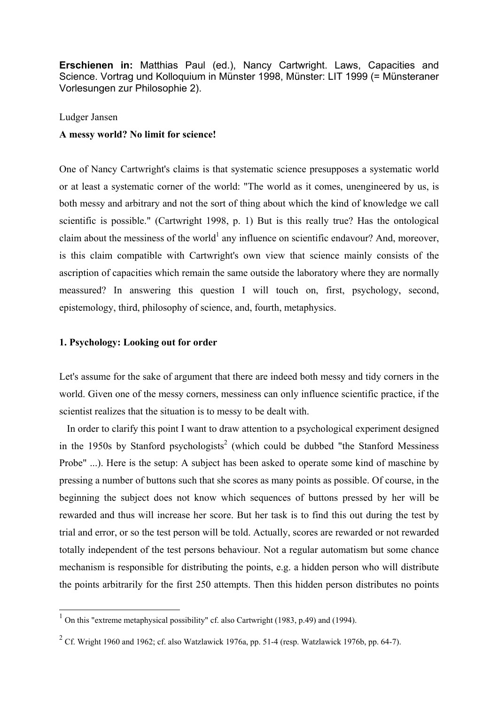**Erschienen in:** Matthias Paul (ed.), Nancy Cartwright. Laws, Capacities and Science. Vortrag und Kolloquium in Münster 1998, Münster: LIT 1999 (= Münsteraner Vorlesungen zur Philosophie 2).

Ludger Jansen

-

# **A messy world? No limit for science!**

One of Nancy Cartwright's claims is that systematic science presupposes a systematic world or at least a systematic corner of the world: "The world as it comes, unengineered by us, is both messy and arbitrary and not the sort of thing about which the kind of knowledge we call scientific is possible." (Cartwright 1998, p. 1) But is this really true? Has the ontological claim about the messiness of the world<sup>1</sup> any influence on scientific endavour? And, moreover, is this claim compatible with Cartwright's own view that science mainly consists of the ascription of capacities which remain the same outside the laboratory where they are normally meassured? In answering this question I will touch on, first, psychology, second, epistemology, third, philosophy of science, and, fourth, metaphysics.

#### **1. Psychology: Looking out for order**

Let's assume for the sake of argument that there are indeed both messy and tidy corners in the world. Given one of the messy corners, messiness can only influence scientific practice, if the scientist realizes that the situation is to messy to be dealt with.

 In order to clarify this point I want to draw attention to a psychological experiment designed in the 1950s by Stanford psychologists<sup>2</sup> (which could be dubbed "the Stanford Messiness Probe" ...). Here is the setup: A subject has been asked to operate some kind of maschine by pressing a number of buttons such that she scores as many points as possible. Of course, in the beginning the subject does not know which sequences of buttons pressed by her will be rewarded and thus will increase her score. But her task is to find this out during the test by trial and error, or so the test person will be told. Actually, scores are rewarded or not rewarded totally independent of the test persons behaviour. Not a regular automatism but some chance mechanism is responsible for distributing the points, e.g. a hidden person who will distribute the points arbitrarily for the first 250 attempts. Then this hidden person distributes no points

 $<sup>1</sup>$  On this "extreme metaphysical possibility" cf. also Cartwright (1983, p.49) and (1994).</sup>

<sup>&</sup>lt;sup>2</sup> Cf. Wright 1960 and 1962; cf. also Watzlawick 1976a, pp. 51-4 (resp. Watzlawick 1976b, pp. 64-7).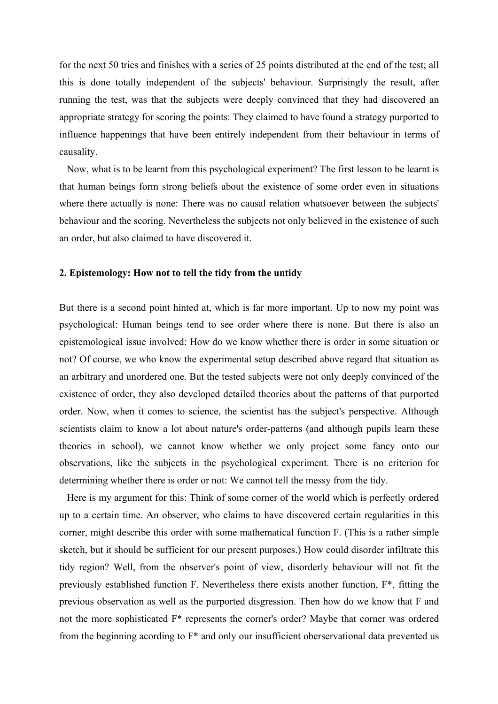for the next 50 tries and finishes with a series of 25 points distributed at the end of the test; all this is done totally independent of the subjects' behaviour. Surprisingly the result, after running the test, was that the subjects were deeply convinced that they had discovered an appropriate strategy for scoring the points: They claimed to have found a strategy purported to influence happenings that have been entirely independent from their behaviour in terms of causality.

 Now, what is to be learnt from this psychological experiment? The first lesson to be learnt is that human beings form strong beliefs about the existence of some order even in situations where there actually is none: There was no causal relation whatsoever between the subjects' behaviour and the scoring. Nevertheless the subjects not only believed in the existence of such an order, but also claimed to have discovered it.

## **2. Epistemology: How not to tell the tidy from the untidy**

But there is a second point hinted at, which is far more important. Up to now my point was psychological: Human beings tend to see order where there is none. But there is also an epistemological issue involved: How do we know whether there is order in some situation or not? Of course, we who know the experimental setup described above regard that situation as an arbitrary and unordered one. But the tested subjects were not only deeply convinced of the existence of order, they also developed detailed theories about the patterns of that purported order. Now, when it comes to science, the scientist has the subject's perspective. Although scientists claim to know a lot about nature's order-patterns (and although pupils learn these theories in school), we cannot know whether we only project some fancy onto our observations, like the subjects in the psychological experiment. There is no criterion for determining whether there is order or not: We cannot tell the messy from the tidy.

 Here is my argument for this: Think of some corner of the world which is perfectly ordered up to a certain time. An observer, who claims to have discovered certain regularities in this corner, might describe this order with some mathematical function F. (This is a rather simple sketch, but it should be sufficient for our present purposes.) How could disorder infiltrate this tidy region? Well, from the observer's point of view, disorderly behaviour will not fit the previously established function F. Nevertheless there exists another function, F\*, fitting the previous observation as well as the purported disgression. Then how do we know that F and not the more sophisticated F\* represents the corner's order? Maybe that corner was ordered from the beginning acording to F\* and only our insufficient oberservational data prevented us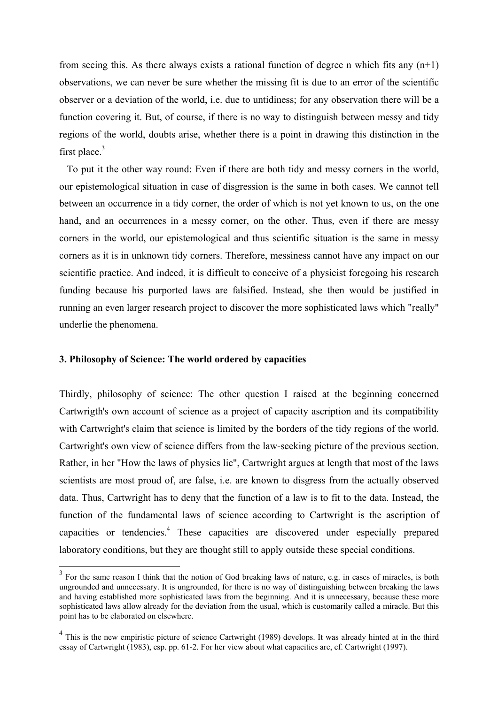from seeing this. As there always exists a rational function of degree n which fits any  $(n+1)$ observations, we can never be sure whether the missing fit is due to an error of the scientific observer or a deviation of the world, i.e. due to untidiness; for any observation there will be a function covering it. But, of course, if there is no way to distinguish between messy and tidy regions of the world, doubts arise, whether there is a point in drawing this distinction in the first place. $3$ 

 To put it the other way round: Even if there are both tidy and messy corners in the world, our epistemological situation in case of disgression is the same in both cases. We cannot tell between an occurrence in a tidy corner, the order of which is not yet known to us, on the one hand, and an occurrences in a messy corner, on the other. Thus, even if there are messy corners in the world, our epistemological and thus scientific situation is the same in messy corners as it is in unknown tidy corners. Therefore, messiness cannot have any impact on our scientific practice. And indeed, it is difficult to conceive of a physicist foregoing his research funding because his purported laws are falsified. Instead, she then would be justified in running an even larger research project to discover the more sophisticated laws which "really" underlie the phenomena.

## **3. Philosophy of Science: The world ordered by capacities**

1

Thirdly, philosophy of science: The other question I raised at the beginning concerned Cartwrigth's own account of science as a project of capacity ascription and its compatibility with Cartwright's claim that science is limited by the borders of the tidy regions of the world. Cartwright's own view of science differs from the law-seeking picture of the previous section. Rather, in her "How the laws of physics lie", Cartwright argues at length that most of the laws scientists are most proud of, are false, i.e. are known to disgress from the actually observed data. Thus, Cartwright has to deny that the function of a law is to fit to the data. Instead, the function of the fundamental laws of science according to Cartwright is the ascription of capacities or tendencies.<sup>4</sup> These capacities are discovered under especially prepared laboratory conditions, but they are thought still to apply outside these special conditions.

<sup>&</sup>lt;sup>3</sup> For the same reason I think that the notion of God breaking laws of nature, e.g. in cases of miracles, is both ungrounded and unnecessary. It is ungrounded, for there is no way of distinguishing between breaking the laws and having established more sophisticated laws from the beginning. And it is unnecessary, because these more sophisticated laws allow already for the deviation from the usual, which is customarily called a miracle. But this point has to be elaborated on elsewhere.

 $4$  This is the new empiristic picture of science Cartwright (1989) develops. It was already hinted at in the third essay of Cartwright (1983), esp. pp. 61-2. For her view about what capacities are, cf. Cartwright (1997).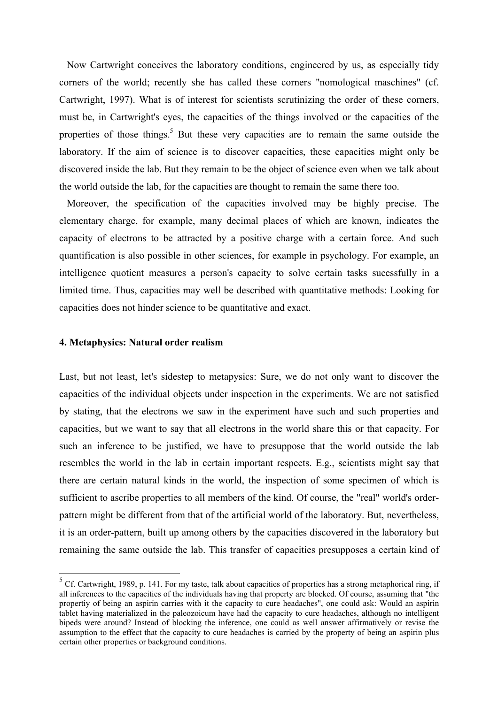Now Cartwright conceives the laboratory conditions, engineered by us, as especially tidy corners of the world; recently she has called these corners "nomological maschines" (cf. Cartwright, 1997). What is of interest for scientists scrutinizing the order of these corners, must be, in Cartwright's eyes, the capacities of the things involved or the capacities of the properties of those things.<sup>5</sup> But these very capacities are to remain the same outside the laboratory. If the aim of science is to discover capacities, these capacities might only be discovered inside the lab. But they remain to be the object of science even when we talk about the world outside the lab, for the capacities are thought to remain the same there too.

 Moreover, the specification of the capacities involved may be highly precise. The elementary charge, for example, many decimal places of which are known, indicates the capacity of electrons to be attracted by a positive charge with a certain force. And such quantification is also possible in other sciences, for example in psychology. For example, an intelligence quotient measures a person's capacity to solve certain tasks sucessfully in a limited time. Thus, capacities may well be described with quantitative methods: Looking for capacities does not hinder science to be quantitative and exact.

#### **4. Metaphysics: Natural order realism**

-

Last, but not least, let's sidestep to metapysics: Sure, we do not only want to discover the capacities of the individual objects under inspection in the experiments. We are not satisfied by stating, that the electrons we saw in the experiment have such and such properties and capacities, but we want to say that all electrons in the world share this or that capacity. For such an inference to be justified, we have to presuppose that the world outside the lab resembles the world in the lab in certain important respects. E.g., scientists might say that there are certain natural kinds in the world, the inspection of some specimen of which is sufficient to ascribe properties to all members of the kind. Of course, the "real" world's orderpattern might be different from that of the artificial world of the laboratory. But, nevertheless, it is an order-pattern, built up among others by the capacities discovered in the laboratory but remaining the same outside the lab. This transfer of capacities presupposes a certain kind of

 $<sup>5</sup>$  Cf. Cartwright, 1989, p. 141. For my taste, talk about capacities of properties has a strong metaphorical ring, if</sup> all inferences to the capacities of the individuals having that property are blocked. Of course, assuming that "the propertiy of being an aspirin carries with it the capacity to cure headaches", one could ask: Would an aspirin tablet having materialized in the paleozoicum have had the capacity to cure headaches, although no intelligent bipeds were around? Instead of blocking the inference, one could as well answer affirmatively or revise the assumption to the effect that the capacity to cure headaches is carried by the property of being an aspirin plus certain other properties or background conditions.